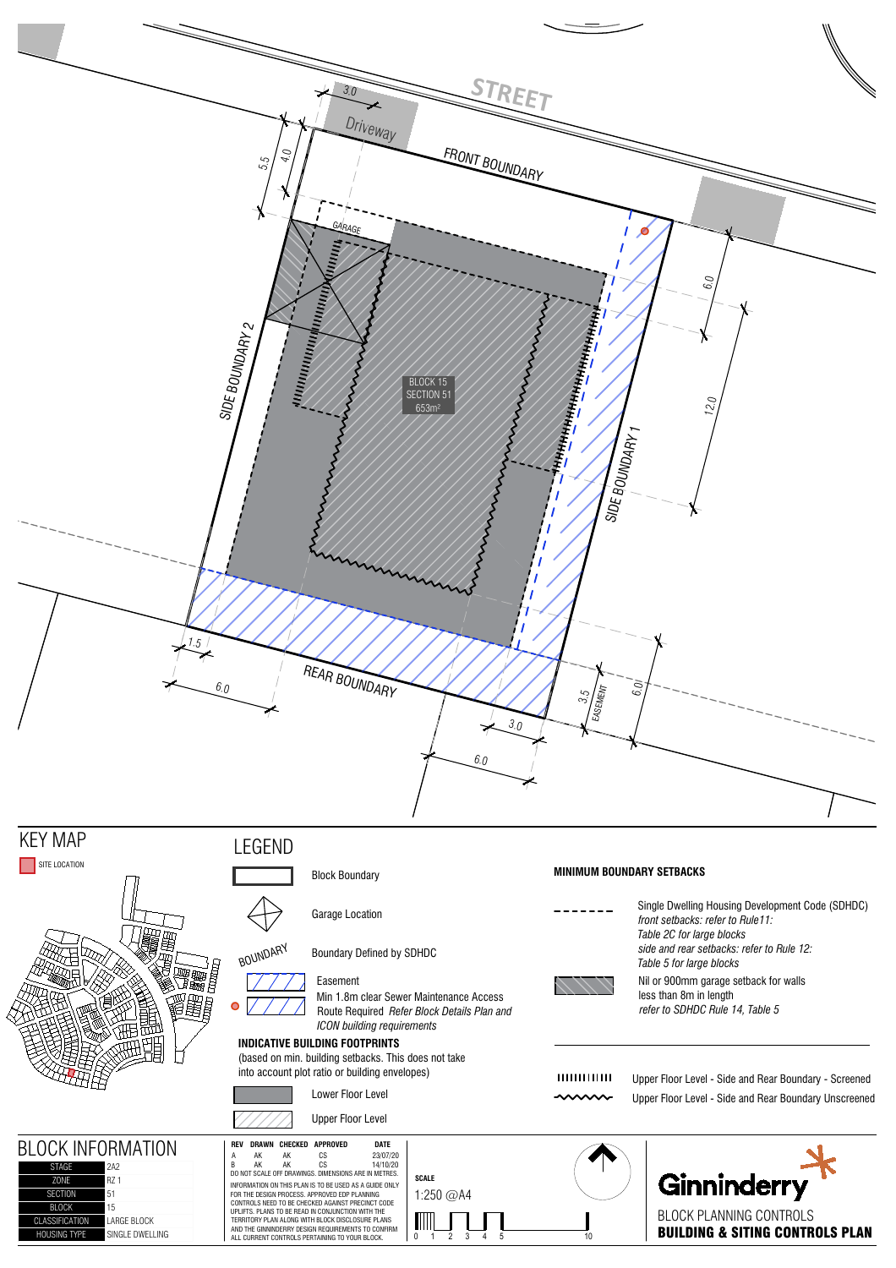